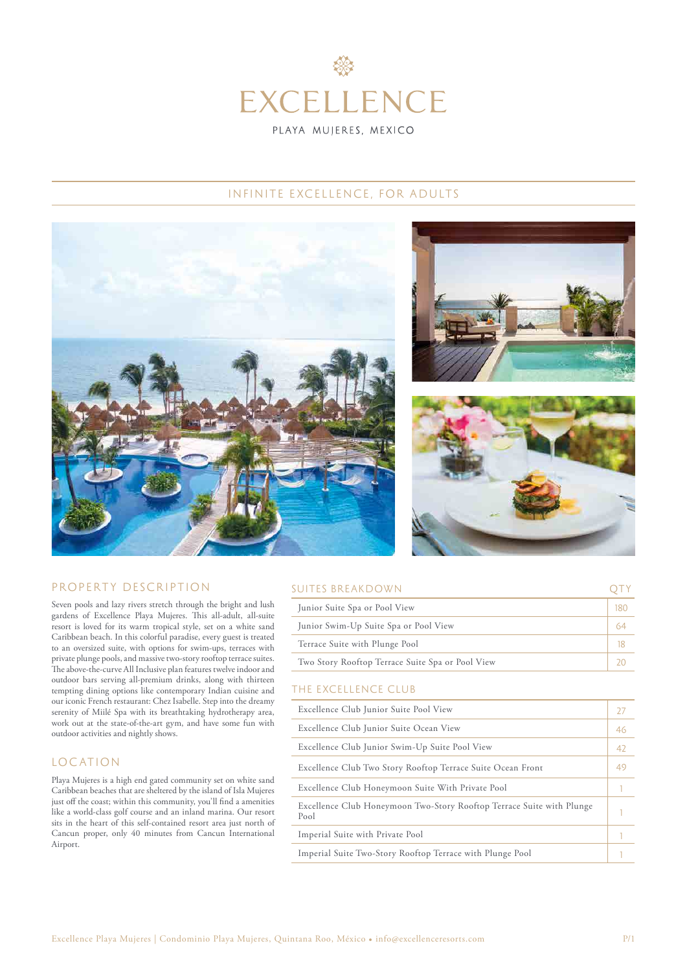

# INFINITE EXCELLENCE, FOR ADULTS







## PROPERTY DESCRIPTION

Seven pools and lazy rivers stretch through the bright and lush gardens of Excellence Playa Mujeres. This all-adult, all-suite resort is loved for its warm tropical style, set on a white sand Caribbean beach. In this colorful paradise, every guest is treated to an oversized suite, with options for swim-ups, terraces with private plunge pools, and massive two-story rooftop terrace suites. The above-the-curve All Inclusive plan features twelve indoor and outdoor bars serving all-premium drinks, along with thirteen tempting dining options like contemporary Indian cuisine and our iconic French restaurant: Chez Isabelle. Step into the dreamy serenity of Miilé Spa with its breathtaking hydrotherapy area, work out at the state-of-the-art gym, and have some fun with outdoor activities and nightly shows.

## LOCATION

Playa Mujeres is a high end gated community set on white sand Caribbean beaches that are sheltered by the island of Isla Mujeres just off the coast; within this community, you'll find a amenities like a world-class golf course and an inland marina. Our resort sits in the heart of this self-contained resort area just north of Cancun proper, only 40 minutes from Cancun International Airport.

# SUITES BREAKDOWN **GET AND SUITES** BREAKDOWN

| Junior Suite Spa or Pool View                    |  |
|--------------------------------------------------|--|
| Junior Swim-Up Suite Spa or Pool View            |  |
| Terrace Suite with Plunge Pool                   |  |
| Two Story Rooftop Terrace Suite Spa or Pool View |  |

### THE EXCELLENCE CLUB

| Excellence Club Junior Suite Pool View                                        | -27 |
|-------------------------------------------------------------------------------|-----|
| Excellence Club Junior Suite Ocean View                                       | 46  |
| Excellence Club Junior Swim-Up Suite Pool View                                | 42  |
| Excellence Club Two Story Rooftop Terrace Suite Ocean Front                   | 49  |
| Excellence Club Honeymoon Suite With Private Pool                             |     |
| Excellence Club Honeymoon Two-Story Rooftop Terrace Suite with Plunge<br>Pool |     |
| Imperial Suite with Private Pool                                              |     |
| Imperial Suite Two-Story Rooftop Terrace with Plunge Pool                     |     |